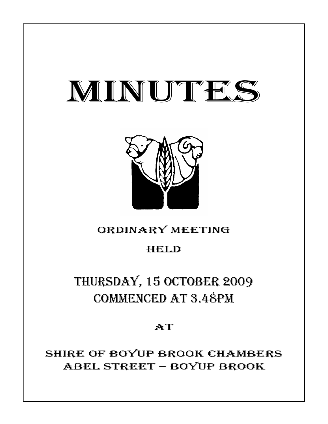# MINUTES



# ORDINARY MEETING

# HELD

# THURSDAY, 15 OCTOBER 2009 COMMENCED AT 3.48PM

## **AT**

SHIRE OF BOYUP BROOK CHAMBERS ABEL STREET – BOYUP BROOK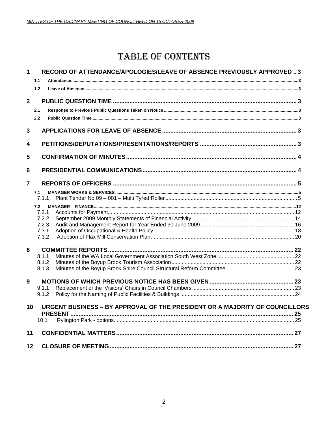# **TABLE OF CONTENTS**

| $\mathbf 1$    | 1.1<br>1.2                                       | RECORD OF ATTENDANCE/APOLOGIES/LEAVE OF ABSENCE PREVIOUSLY APPROVED  3      |  |
|----------------|--------------------------------------------------|-----------------------------------------------------------------------------|--|
| $\overline{2}$ | 2.1<br>2.2                                       |                                                                             |  |
| 3              |                                                  |                                                                             |  |
| 4              |                                                  |                                                                             |  |
| 5              |                                                  |                                                                             |  |
| 6              |                                                  |                                                                             |  |
| $\overline{7}$ |                                                  |                                                                             |  |
|                | 7.1<br>7.1.1                                     |                                                                             |  |
|                | 7.2<br>7.2.1<br>7.2.2<br>7.2.3<br>7.3.1<br>7.3.2 |                                                                             |  |
| 8              | 8.1.1                                            |                                                                             |  |
|                | 8.1.2<br>8.1.3                                   |                                                                             |  |
| 9              |                                                  |                                                                             |  |
|                | 9.1.1<br>9.1.2                                   |                                                                             |  |
| $10 -$         | 10.1                                             | URGENT BUSINESS – BY APPROVAL OF THE PRESIDENT OR A MAJORITY OF COUNCILLORS |  |
| 11             |                                                  |                                                                             |  |
| 12             |                                                  |                                                                             |  |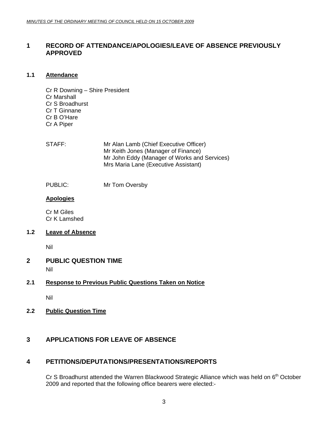#### <span id="page-2-0"></span>**1 RECORD OF ATTENDANCE/APOLOGIES/LEAVE OF ABSENCE PREVIOUSLY APPROVED**

#### **1.1 Attendance**

Cr R Downing – Shire President Cr Marshall Cr S Broadhurst Cr T Ginnane Cr B O'Hare Cr A Piper

- STAFF: Mr Alan Lamb (Chief Executive Officer) Mr Keith Jones (Manager of Finance) Mr John Eddy (Manager of Works and Services) Mrs Maria Lane (Executive Assistant)
- PUBLIC: Mr Tom Oversby

#### **Apologies**

Cr M Giles Cr K Lamshed

#### **1.2 Leave of Absence**

Nil

### **2 PUBLIC QUESTION TIME**

Nil

#### **2.1 Response to Previous Public Questions Taken on Notice**

Nil

**2.2 Public Question Time**

## **3 APPLICATIONS FOR LEAVE OF ABSENCE**

#### **4 PETITIONS/DEPUTATIONS/PRESENTATIONS/REPORTS**

Cr S Broadhurst attended the Warren Blackwood Strategic Alliance which was held on  $6<sup>th</sup>$  October 2009 and reported that the following office bearers were elected:-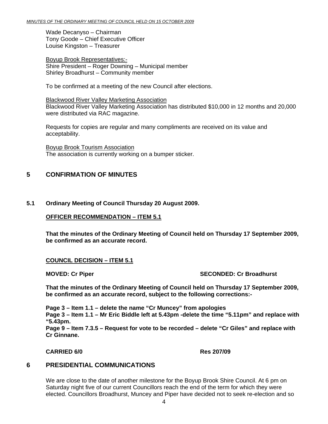<span id="page-3-0"></span>Wade Decanyso – Chairman Tony Goode – Chief Executive Officer Louise Kingston – Treasurer

Boyup Brook Representatives:- Shire President – Roger Downing – Municipal member Shirley Broadhurst – Community member

To be confirmed at a meeting of the new Council after elections.

Blackwood River Valley Marketing Association Blackwood River Valley Marketing Association has distributed \$10,000 in 12 months and 20,000 were distributed via RAC magazine.

Requests for copies are regular and many compliments are received on its value and acceptability.

Boyup Brook Tourism Association The association is currently working on a bumper sticker.

## **5 CONFIRMATION OF MINUTES**

#### **5.1 Ordinary Meeting of Council Thursday 20 August 2009.**

#### **OFFICER RECOMMENDATION – ITEM 5.1**

**That the minutes of the Ordinary Meeting of Council held on Thursday 17 September 2009, be confirmed as an accurate record.** 

#### **COUNCIL DECISION – ITEM 5.1**

#### **MOVED: Cr Piper SECONDED: Cr Broadhurst**

**That the minutes of the Ordinary Meeting of Council held on Thursday 17 September 2009, be confirmed as an accurate record, subject to the following corrections:-** 

**Page 3 – Item 1.1 – delete the name "Cr Muncey" from apologies** 

**Page 3 – Item 1.1 – Mr Eric Biddle left at 5.43pm -delete the time "5.11pm" and replace with "5.43pm.** 

**Page 9 – Item 7.3.5 – Request for vote to be recorded – delete "Cr Giles" and replace with Cr Ginnane.** 

#### **CARRIED 6/0 Res 207/09**

### **6 PRESIDENTIAL COMMUNICATIONS**

We are close to the date of another milestone for the Boyup Brook Shire Council. At 6 pm on Saturday night five of our current Councillors reach the end of the term for which they were elected. Councillors Broadhurst, Muncey and Piper have decided not to seek re-election and so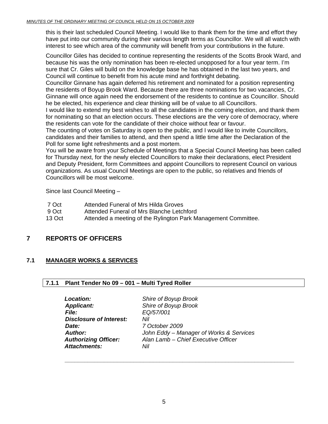#### <span id="page-4-0"></span>*MINUTES OF THE ORDINARY MEETING OF COUNCIL HELD ON 15 OCTOBER 2009*

this is their last scheduled Council Meeting. I would like to thank them for the time and effort they have put into our community during their various length terms as Councillor. We will all watch with interest to see which area of the community will benefit from your contributions in the future.

Councillor Giles has decided to continue representing the residents of the Scotts Brook Ward, and because his was the only nomination has been re-elected unopposed for a four year term. I'm sure that Cr. Giles will build on the knowledge base he has obtained in the last two years, and Council will continue to benefit from his acute mind and forthright debating.

Councillor Ginnane has again deferred his retirement and nominated for a position representing the residents of Boyup Brook Ward. Because there are three nominations for two vacancies, Cr. Ginnane will once again need the endorsement of the residents to continue as Councillor. Should he be elected, his experience and clear thinking will be of value to all Councillors.

I would like to extend my best wishes to all the candidates in the coming election, and thank them for nominating so that an election occurs. These elections are the very core of democracy, where the residents can vote for the candidate of their choice without fear or favour.

The counting of votes on Saturday is open to the public, and I would like to invite Councillors, candidates and their families to attend, and then spend a little time after the Declaration of the Poll for some light refreshments and a post mortem.

You will be aware from your Schedule of Meetings that a Special Council Meeting has been called for Thursday next, for the newly elected Councillors to make their declarations, elect President and Deputy President, form Committees and appoint Councillors to represent Council on various organizations. As usual Council Meetings are open to the public, so relatives and friends of Councillors will be most welcome.

Since last Council Meeting –

- 7 Oct Attended Funeral of Mrs Hilda Groves
- 9 Oct Attended Funeral of Mrs Blanche Letchford
- 13 Oct **Attended a meeting of the Rylington Park Management Committee.**

#### **7 REPORTS OF OFFICERS**

#### **7.1 MANAGER WORKS & SERVICES**

#### **7.1.1 Plant Tender No 09 – 001 – Multi Tyred Roller**

| <b>Location:</b>               | Shire of Boyup Brook                    |
|--------------------------------|-----------------------------------------|
| <b>Applicant:</b>              | Shire of Boyup Brook                    |
| <b>File:</b>                   | EQ/57/001                               |
| <b>Disclosure of Interest:</b> | Nil                                     |
| Date:                          | 7 October 2009                          |
| Author:                        | John Eddy - Manager of Works & Services |
| <b>Authorizing Officer:</b>    | Alan Lamb - Chief Executive Officer     |
| <b>Attachments:</b>            | Nil                                     |
|                                |                                         |

*\_\_\_\_\_\_\_\_\_\_\_\_\_\_\_\_\_\_\_\_\_\_\_\_\_\_\_\_\_\_\_\_\_\_\_\_\_\_\_\_\_\_\_\_\_\_\_\_\_\_\_\_\_\_\_\_\_\_\_\_\_\_\_\_\_\_\_\_\_\_*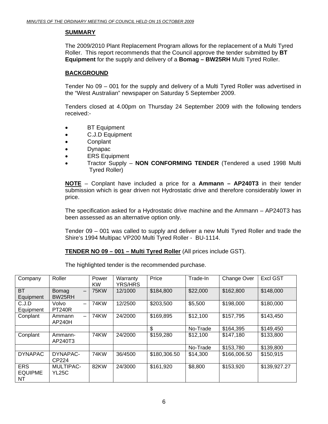#### **SUMMARY**

The 2009/2010 Plant Replacement Program allows for the replacement of a Multi Tyred Roller. This report recommends that the Council approve the tender submitted by **BT Equipment** for the supply and delivery of a **Bomag – BW25RH** Multi Tyred Roller.

#### **BACKGROUND**

Tender No 09 – 001 for the supply and delivery of a Multi Tyred Roller was advertised in the "West Australian" newspaper on Saturday 5 September 2009.

Tenders closed at 4.00pm on Thursday 24 September 2009 with the following tenders received:-

- BT Equipment
- C.J.D Equipment
- Conplant
- Dynapac
- ERS Equipment
- Tractor Supply **NON CONFORMING TENDER** (Tendered a used 1998 Multi Tyred Roller)

**NOTE** – Conplant have included a price for a **Ammann – AP240T3** in their tender submission which is gear driven not Hydrostatic drive and therefore considerably lower in price.

The specification asked for a Hydrostatic drive machine and the Ammann – AP240T3 has been assessed as an alternative option only.

Tender 09 – 001 was called to supply and deliver a new Multi Tyred Roller and trade the Shire's 1994 Multipac VP200 Multi Tyred Roller - BU-1114.

**TENDER NO 09 – 001 – Multi Tyred Roller** (All prices include GST).

The highlighted tender is the recommended purchase.

| Company                            | Roller                                             | Power<br><b>KW</b> | Warranty<br><b>YRS/HRS</b> | Price        | Trade-In | Change Over  | <b>Excl GST</b> |
|------------------------------------|----------------------------------------------------|--------------------|----------------------------|--------------|----------|--------------|-----------------|
| <b>BT</b><br>Equipment             | <b>Bomag</b><br>$\overline{\phantom{0}}$<br>BW25RH | <b>75KW</b>        | 12/1000                    | \$184,800    | \$22,000 | \$162,800    | \$148,000       |
| C.J.D<br>Equipment                 | Volvo<br>$\overline{\phantom{0}}$<br><b>PT240R</b> | <b>74KW</b>        | 12/2500                    | \$203,500    | \$5,500  | \$198,000    | \$180,000       |
| Conplant                           | Ammann<br>$\overline{\phantom{0}}$<br>AP240H       | 74KW               | 24/2000                    | \$169,895    | \$12,100 | \$157,795    | \$143,450       |
|                                    |                                                    |                    |                            | \$           | No-Trade | \$164,395    | \$149,450       |
| Conplant                           | Ammann-<br>AP240T3                                 | <b>74KW</b>        | 24/2000                    | \$159,280    | \$12,100 | \$147,180    | \$133,800       |
|                                    |                                                    |                    |                            |              | No-Trade | \$153,780    | \$139,800       |
| <b>DYNAPAC</b>                     | DYNAPAC-<br>CP224                                  | <b>74KW</b>        | 36/4500                    | \$180,306.50 | \$14,300 | \$166,006.50 | \$150,915       |
| <b>ERS</b><br><b>EQUIPME</b><br>NT | <b>MULTIPAC-</b><br><b>YL25C</b>                   | <b>82KW</b>        | 24/3000                    | \$161,920    | \$8,800  | \$153,920    | \$139,927.27    |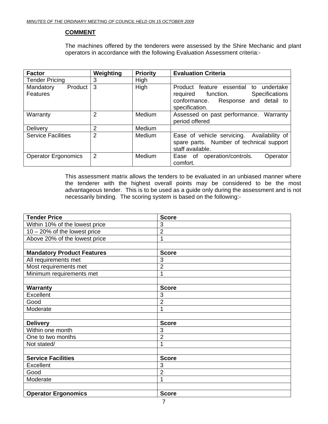#### **COMMENT**

The machines offered by the tenderers were assessed by the Shire Mechanic and plant operators in accordance with the following Evaluation Assessment criteria:-

| <b>Factor</b>                    | Weighting      | <b>Priority</b> | <b>Evaluation Criteria</b>                                                                                                                              |
|----------------------------------|----------------|-----------------|---------------------------------------------------------------------------------------------------------------------------------------------------------|
| <b>Tender Pricing</b>            | 3              | High            |                                                                                                                                                         |
| Product<br>Mandatory<br>Features | 3              | High            | Product feature essential<br>undertake<br>to<br><b>Specifications</b><br>required function.<br>Response and detail to<br>conformance.<br>specification. |
| Warranty                         | $\overline{2}$ | Medium          | Assessed on past performance. Warranty<br>period offered                                                                                                |
| Delivery                         | 2              | Medium          |                                                                                                                                                         |
| <b>Service Facilities</b>        | $\overline{2}$ | Medium          | Ease of vehicle servicing. Availability of<br>spare parts. Number of technical support<br>staff available.                                              |
| <b>Operator Ergonomics</b>       | 2              | Medium          | operation/controls.<br>Ease of<br>Operator<br>comfort.                                                                                                  |

This assessment matrix allows the tenders to be evaluated in an unbiased manner where the tenderer with the highest overall points may be considered to be the most advantageous tender. This is to be used as a guide only during the assessment and is not necessarily binding. The scoring system is based on the following:-

| <b>Tender Price</b>               | <b>Score</b>   |
|-----------------------------------|----------------|
| Within 10% of the lowest price    | 3              |
| $10 - 20\%$ of the lowest price   | $\overline{2}$ |
| Above 20% of the lowest price     | 1              |
|                                   |                |
| <b>Mandatory Product Features</b> | <b>Score</b>   |
| All requirements met              | 3              |
| Most requirements met             | $\overline{2}$ |
| Minimum requirements met          | 1              |
|                                   |                |
| <b>Warranty</b>                   | <b>Score</b>   |
| Excellent                         | 3              |
| Good                              | $\overline{2}$ |
| Moderate                          | 1              |
|                                   |                |
| <b>Delivery</b>                   | <b>Score</b>   |
| Within one month                  | 3              |
| One to two months                 | $\overline{2}$ |
| Not stated/                       | 1              |
|                                   |                |
| <b>Service Facilities</b>         | <b>Score</b>   |
| Excellent                         | 3              |
| Good                              | $\overline{2}$ |
| Moderate                          | 1              |
|                                   |                |
| <b>Operator Ergonomics</b>        | <b>Score</b>   |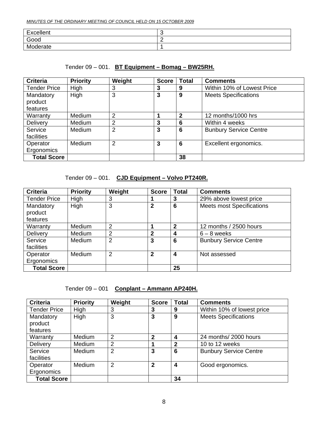| Excellent | ັ |
|-----------|---|
| Good      | - |
| Moderate  |   |

#### Tender 09 – 001. **BT Equipment – Bomag – BW25RH.**

| <b>Criteria</b>     | <b>Priority</b> | Weight         | <b>Score</b> | <b>Total</b> | <b>Comments</b>               |
|---------------------|-----------------|----------------|--------------|--------------|-------------------------------|
| <b>Tender Price</b> | High            | 3              | 3            | 9            | Within 10% of Lowest Price    |
| Mandatory           | High            | 3              | 3            | 9            | <b>Meets Specifications</b>   |
| product             |                 |                |              |              |                               |
| features            |                 |                |              |              |                               |
| Warranty            | <b>Medium</b>   | $\overline{2}$ |              | $\mathbf{2}$ | 12 months/1000 hrs            |
| Delivery            | Medium          | 2              | 3            | 6            | Within 4 weeks                |
| Service             | <b>Medium</b>   | 2              | 3            | 6            | <b>Bunbury Service Centre</b> |
| facilities          |                 |                |              |              |                               |
| Operator            | Medium          | $\overline{2}$ | 3            | 6            | Excellent ergonomics.         |
| Ergonomics          |                 |                |              |              |                               |
| <b>Total Score</b>  |                 |                |              | 38           |                               |

Tender 09 – 001. **CJD Equipment – Volvo PT240R.**

| <b>Criteria</b>     | <b>Priority</b> | Weight         | <b>Score</b> | <b>Total</b>    | <b>Comments</b>                  |
|---------------------|-----------------|----------------|--------------|-----------------|----------------------------------|
| <b>Tender Price</b> | High            | 3              |              | 3               | 29% above lowest price           |
| Mandatory           | High            | 3              | $\mathbf{2}$ | $6\phantom{1}6$ | <b>Meets most Specifications</b> |
| product             |                 |                |              |                 |                                  |
| features            |                 |                |              |                 |                                  |
| Warranty            | Medium          | 2              |              | $\overline{2}$  | 12 months / 2500 hours           |
| Delivery            | Medium          | $\overline{2}$ | $\mathbf{2}$ | 4               | $6 - 8$ weeks                    |
| Service             | <b>Medium</b>   | $\overline{2}$ | 3            | 6               | <b>Bunbury Service Centre</b>    |
| facilities          |                 |                |              |                 |                                  |
| Operator            | <b>Medium</b>   | 2              | $\mathbf{2}$ | 4               | Not assessed                     |
| Ergonomics          |                 |                |              |                 |                                  |
| <b>Total Score</b>  |                 |                |              | 25              |                                  |

Tender 09 – 001 **Conplant – Ammann AP240H.**

| <b>Criteria</b>     | <b>Priority</b> | Weight         | <b>Score</b> | <b>Total</b>     | <b>Comments</b>               |
|---------------------|-----------------|----------------|--------------|------------------|-------------------------------|
| <b>Tender Price</b> | High            | 3              | 3            | 9                | Within 10% of lowest price    |
| Mandatory           | High            | 3              | 3            | 9                | <b>Meets Specifications</b>   |
| product             |                 |                |              |                  |                               |
| features            |                 |                |              |                  |                               |
| Warranty            | Medium          | $\overline{2}$ | $\mathbf{2}$ | $\boldsymbol{4}$ | 24 months/ 2000 hours         |
| Delivery            | Medium          | $\overline{2}$ |              | $\mathbf{2}$     | 10 to 12 weeks                |
| Service             | <b>Medium</b>   | $\overline{2}$ | 3            | 6                | <b>Bunbury Service Centre</b> |
| facilities          |                 |                |              |                  |                               |
| Operator            | <b>Medium</b>   | $\overline{2}$ | 2            | 4                | Good ergonomics.              |
| Ergonomics          |                 |                |              |                  |                               |
| <b>Total Score</b>  |                 |                |              | 34               |                               |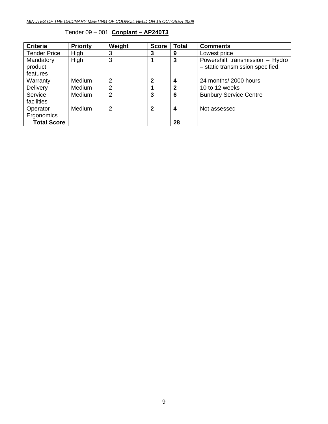| <b>Criteria</b>     | <b>Priority</b> | Weight         | <b>Score</b> | <b>Total</b>     | <b>Comments</b>                  |
|---------------------|-----------------|----------------|--------------|------------------|----------------------------------|
| <b>Tender Price</b> | High            | 3              | 3            | 9                | Lowest price                     |
| Mandatory           | High            | 3              |              | 3                | Powershift transmission - Hydro  |
| product             |                 |                |              |                  | - static transmission specified. |
| features            |                 |                |              |                  |                                  |
| Warranty            | Medium          | $\overline{2}$ | $\mathbf{2}$ | $\boldsymbol{4}$ | 24 months/ 2000 hours            |
| Delivery            | Medium          | 2              |              | 2                | 10 to 12 weeks                   |
| Service             | Medium          | $\overline{2}$ | 3            | 6                | <b>Bunbury Service Centre</b>    |
| facilities          |                 |                |              |                  |                                  |
| Operator            | Medium          | $\overline{2}$ | $\mathbf{2}$ | 4                | Not assessed                     |
| Ergonomics          |                 |                |              |                  |                                  |
| <b>Total Score</b>  |                 |                |              | 28               |                                  |

#### Tender 09 – 001 **Conplant – AP240T3**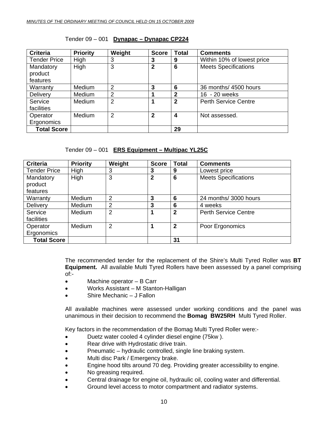| Tender 09 - 001 Dynapac - Dynapac CP224 |
|-----------------------------------------|
|-----------------------------------------|

| <b>Criteria</b>     | <b>Priority</b> | Weight         | <b>Score</b> | <b>Total</b> | <b>Comments</b>             |
|---------------------|-----------------|----------------|--------------|--------------|-----------------------------|
| <b>Tender Price</b> | High            | 3              | 3            | 9            | Within 10% of lowest price  |
| Mandatory           | High            | 3              | 2            | 6            | <b>Meets Specifications</b> |
| product             |                 |                |              |              |                             |
| features            |                 |                |              |              |                             |
| Warranty            | Medium          | $\overline{2}$ | 3            | 6            | 36 months/ 4500 hours       |
| Delivery            | Medium          | $\overline{2}$ |              | $\mathbf{2}$ | 16 - 20 weeks               |
| Service             | <b>Medium</b>   | $\overline{2}$ |              | $\mathbf{2}$ | <b>Perth Service Centre</b> |
| facilities          |                 |                |              |              |                             |
| Operator            | Medium          | $\overline{2}$ | $\mathbf{2}$ | 4            | Not assessed.               |
| Ergonomics          |                 |                |              |              |                             |
| <b>Total Score</b>  |                 |                |              | 29           |                             |

#### Tender 09 – 001 **ERS Equipment – Multipac YL25C**

| <b>Criteria</b>     | <b>Priority</b> | Weight         | <b>Score</b> | <b>Total</b>   | <b>Comments</b>             |
|---------------------|-----------------|----------------|--------------|----------------|-----------------------------|
| <b>Tender Price</b> | High            | 3              | 3            | 9              | Lowest price                |
| Mandatory           | High            | 3              | $\mathbf{2}$ | 6              | <b>Meets Specifications</b> |
| product             |                 |                |              |                |                             |
| features            |                 |                |              |                |                             |
| Warranty            | Medium          | $\overline{2}$ | 3            | 6              | 24 months/3000 hours        |
| Delivery            | Medium          | $\overline{2}$ | 3            | 6              | 4 weeks                     |
| Service             | Medium          | $\overline{2}$ |              | $\overline{2}$ | <b>Perth Service Centre</b> |
| facilities          |                 |                |              |                |                             |
| Operator            | Medium          | $\overline{2}$ |              | $\mathbf{2}$   | Poor Ergonomics             |
| Ergonomics          |                 |                |              |                |                             |
| <b>Total Score</b>  |                 |                |              | 31             |                             |

The recommended tender for the replacement of the Shire's Multi Tyred Roller was **BT Equipment.** All available Multi Tyred Rollers have been assessed by a panel comprising of:-

- Machine operator B Carr
- Works Assistant M Stanton-Halligan
- Shire Mechanic J Fallon

All available machines were assessed under working conditions and the panel was unanimous in their decision to recommend the **Bomag BW25RH** Multi Tyred Roller.

Key factors in the recommendation of the Bomag Multi Tyred Roller were:-

- Duetz water cooled 4 cylinder diesel engine (75kw ).
- Rear drive with Hydrostatic drive train.
- Pneumatic hydraulic controlled, single line braking system.
- Multi disc Park / Emergency brake.
- Engine hood tilts around 70 deg. Providing greater accessibility to engine.
- No greasing required.
- Central drainage for engine oil, hydraulic oil, cooling water and differential.
- Ground level access to motor compartment and radiator systems.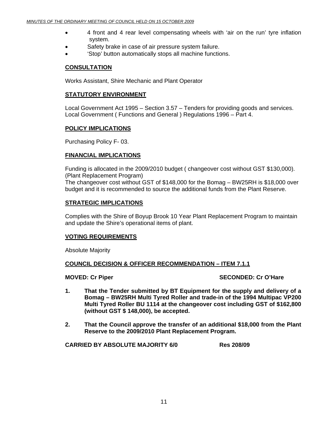- 4 front and 4 rear level compensating wheels with 'air on the run' tyre inflation system.
- Safety brake in case of air pressure system failure.
- 'Stop' button automatically stops all machine functions.

#### **CONSULTATION**

Works Assistant, Shire Mechanic and Plant Operator

#### **STATUTORY ENVIRONMENT**

Local Government Act 1995 – Section 3.57 – Tenders for providing goods and services. Local Government ( Functions and General ) Regulations 1996 – Part 4.

#### **POLICY IMPLICATIONS**

Purchasing Policy F- 03.

#### **FINANCIAL IMPLICATIONS**

Funding is allocated in the 2009/2010 budget ( changeover cost without GST \$130,000). (Plant Replacement Program) The changeover cost without GST of \$148,000 for the Bomag – BW25RH is \$18,000 over budget and it is recommended to source the additional funds from the Plant Reserve.

#### **STRATEGIC IMPLICATIONS**

Complies with the Shire of Boyup Brook 10 Year Plant Replacement Program to maintain and update the Shire's operational items of plant.

#### **VOTING REQUIREMENTS**

Absolute Majority

#### **COUNCIL DECISION & OFFICER RECOMMENDATION – ITEM 7.1.1**

**MOVED: Cr Piper SECONDED: Cr O'Hare SECONDED: Cr O'Hare** 

- **1. That the Tender submitted by BT Equipment for the supply and delivery of a Bomag – BW25RH Multi Tyred Roller and trade-in of the 1994 Multipac VP200 Multi Tyred Roller BU 1114 at the changeover cost including GST of \$162,800 (without GST \$ 148,000), be accepted.**
- **2. That the Council approve the transfer of an additional \$18,000 from the Plant Reserve to the 2009/2010 Plant Replacement Program.**

 **CARRIED BY ABSOLUTE MAJORITY 6/0 Res 208/09**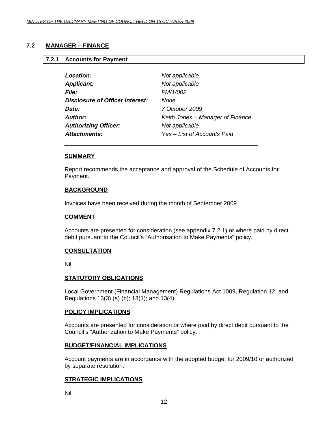#### <span id="page-11-0"></span>**7.2 MANAGER – FINANCE**

#### **7.2.1 Accounts for Payment**

| Location:                       | Not applicable                   |
|---------------------------------|----------------------------------|
| <b>Applicant:</b>               | Not applicable                   |
| <b>File:</b>                    | FM/1/002                         |
| Disclosure of Officer Interest: | <b>None</b>                      |
| Date:                           | 7 October 2009                   |
| Author:                         | Keith Jones – Manager of Finance |
| <b>Authorizing Officer:</b>     | Not applicable                   |
| Attachments:                    | Yes – List of Accounts Paid      |
|                                 |                                  |

#### **SUMMARY**

Report recommends the acceptance and approval of the Schedule of Accounts for Payment.

#### **BACKGROUND**

Invoices have been received during the month of September 2009.

#### **COMMENT**

Accounts are presented for consideration (see appendix 7.2.1) or where paid by direct debit pursuant to the Council's "Authorisation to Make Payments" policy.

#### **CONSULTATION**

Nil

#### **STATUTORY OBLIGATIONS**

Local Government (Financial Management) Regulations Act 1009, Regulation 12; and Regulations 13(3) (a) (b); 13(1); and 13(4).

#### **POLICY IMPLICATIONS**

Accounts are presented for consideration or where paid by direct debit pursuant to the Council's "Authorization to Make Payments" policy.

#### **BUDGET/FINANCIAL IMPLICATIONS**

Account payments are in accordance with the adopted budget for 2009/10 or authorized by separate resolution.

#### **STRATEGIC IMPLICATIONS**

Nil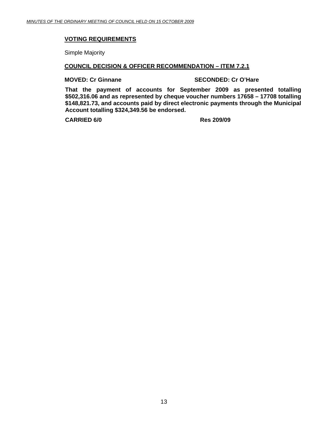#### **VOTING REQUIREMENTS**

Simple Majority

#### **COUNCIL DECISION & OFFICER RECOMMENDATION – ITEM 7.2.1**

**MOVED: Cr Ginnane SECONDED: Cr O'Hare** 

**That the payment of accounts for September 2009 as presented totalling \$502,316.06 and as represented by cheque voucher numbers 17658 – 17708 totalling \$148,821.73, and accounts paid by direct electronic payments through the Municipal Account totalling \$324,349.56 be endorsed.** 

**CARRIED 6/0 Res 209/09**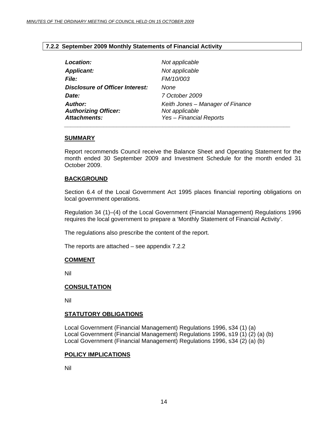#### <span id="page-13-0"></span>**7.2.2 September 2009 Monthly Statements of Financial Activity**

| Not applicable                                                                       |
|--------------------------------------------------------------------------------------|
| Not applicable                                                                       |
| FM/10/003                                                                            |
| None                                                                                 |
| 7 October 2009                                                                       |
| Keith Jones – Manager of Finance<br>Not applicable<br><b>Yes - Financial Reports</b> |
|                                                                                      |

#### **SUMMARY**

Report recommends Council receive the Balance Sheet and Operating Statement for the month ended 30 September 2009 and Investment Schedule for the month ended 31 October 2009.

#### **BACKGROUND**

Section 6.4 of the Local Government Act 1995 places financial reporting obligations on local government operations.

Regulation 34 (1)–(4) of the Local Government (Financial Management) Regulations 1996 requires the local government to prepare a 'Monthly Statement of Financial Activity'.

The regulations also prescribe the content of the report.

The reports are attached – see appendix 7.2.2

#### **COMMENT**

Nil

#### **CONSULTATION**

Nil

#### **STATUTORY OBLIGATIONS**

Local Government (Financial Management) Regulations 1996, s34 (1) (a) Local Government (Financial Management) Regulations 1996, s19 (1) (2) (a) (b) Local Government (Financial Management) Regulations 1996, s34 (2) (a) (b)

#### **POLICY IMPLICATIONS**

Nil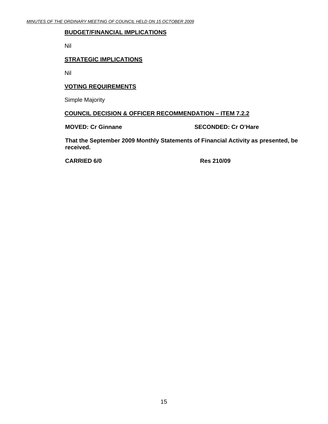#### **BUDGET/FINANCIAL IMPLICATIONS**

Nil

#### **STRATEGIC IMPLICATIONS**

Nil

#### **VOTING REQUIREMENTS**

Simple Majority

#### **COUNCIL DECISION & OFFICER RECOMMENDATION – ITEM 7.2.2**

**MOVED: Cr Ginnane SECONDED: Cr O'Hare** 

**That the September 2009 Monthly Statements of Financial Activity as presented, be received.** 

**CARRIED 6/0 Res 210/09**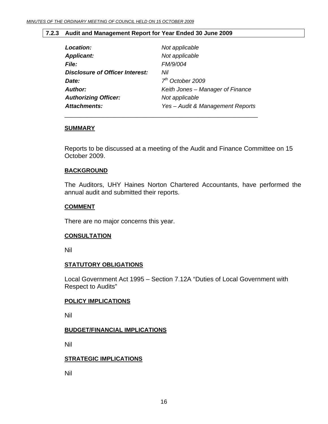#### <span id="page-15-0"></span>**7.2.3 Audit and Management Report for Year Ended 30 June 2009**

\_\_\_\_\_\_\_\_\_\_\_\_\_\_\_\_\_\_\_\_\_\_\_\_\_\_\_\_\_\_\_\_\_\_\_\_\_\_\_\_\_\_\_\_\_\_\_\_\_\_\_\_\_\_\_\_\_\_\_

| Location:                       | Not applicable                   |
|---------------------------------|----------------------------------|
| <b>Applicant:</b>               | Not applicable                   |
| <b>File:</b>                    | FM/9/004                         |
| Disclosure of Officer Interest: | Nil                              |
| Date:                           | $7th$ October 2009               |
| Author:                         | Keith Jones - Manager of Finance |
| <b>Authorizing Officer:</b>     | Not applicable                   |
| <b>Attachments:</b>             | Yes - Audit & Management Reports |

#### **SUMMARY**

Reports to be discussed at a meeting of the Audit and Finance Committee on 15 October 2009.

#### **BACKGROUND**

The Auditors, UHY Haines Norton Chartered Accountants, have performed the annual audit and submitted their reports.

#### **COMMENT**

There are no major concerns this year.

#### **CONSULTATION**

Nil

#### **STATUTORY OBLIGATIONS**

Local Government Act 1995 – Section 7.12A "Duties of Local Government with Respect to Audits"

#### **POLICY IMPLICATIONS**

Nil

#### **BUDGET/FINANCIAL IMPLICATIONS**

Nil

#### **STRATEGIC IMPLICATIONS**

Nil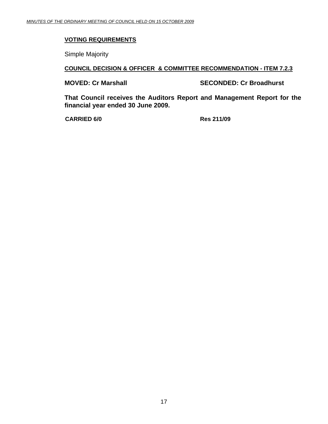#### **VOTING REQUIREMENTS**

Simple Majority

#### **COUNCIL DECISION & OFFICER & COMMITTEE RECOMMENDATION - ITEM 7.2.3**

**MOVED: Cr Marshall SECONDED: Cr Broadhurst** 

**That Council receives the Auditors Report and Management Report for the financial year ended 30 June 2009.** 

**CARRIED 6/0 Res 211/09**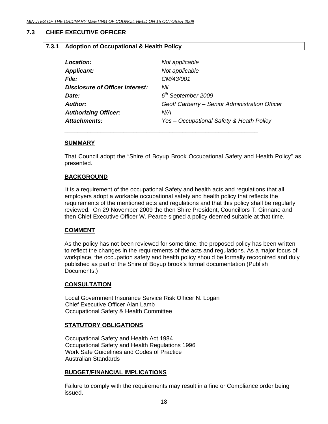#### <span id="page-17-0"></span>**7.3 CHIEF EXECUTIVE OFFICER**

#### **7.3.1 Adoption of Occupational & Health Policy**

| <b>Location:</b>                       | Not applicable                                 |
|----------------------------------------|------------------------------------------------|
| <b>Applicant:</b>                      | Not applicable                                 |
| <b>File:</b>                           | CM/43/001                                      |
| <b>Disclosure of Officer Interest:</b> | Nil                                            |
| Date:                                  | $6th$ September 2009                           |
| Author:                                | Geoff Carberry - Senior Administration Officer |
| <b>Authorizing Officer:</b>            | N/A                                            |
| Attachments:                           | Yes - Occupational Safety & Heath Policy       |
|                                        |                                                |

#### **SUMMARY**

That Council adopt the "Shire of Boyup Brook Occupational Safety and Health Policy" as presented.

#### **BACKGROUND**

It is a requirement of the occupational Safety and health acts and regulations that all employers adopt a workable occupational safety and health policy that reflects the requirements of the mentioned acts and regulations and that this policy shall be regularly reviewed. On 29 November 2009 the then Shire President, Councillors T. Ginnane and then Chief Executive Officer W. Pearce signed a policy deemed suitable at that time.

#### **COMMENT**

As the policy has not been reviewed for some time, the proposed policy has been written to reflect the changes in the requirements of the acts and regulations. As a major focus of workplace, the occupation safety and health policy should be formally recognized and duly published as part of the Shire of Boyup brook's formal documentation (Publish Documents.)

#### **CONSULTATION**

Local Government Insurance Service Risk Officer N. Logan Chief Executive Officer Alan Lamb Occupational Safety & Health Committee

#### **STATUTORY OBLIGATIONS**

Occupational Safety and Health Act 1984 Occupational Safety and Health Regulations 1996 Work Safe Guidelines and Codes of Practice Australian Standards

#### **BUDGET/FINANCIAL IMPLICATIONS**

Failure to comply with the requirements may result in a fine or Compliance order being issued.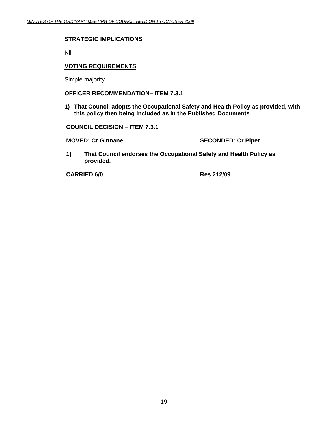#### **STRATEGIC IMPLICATIONS**

Nil

#### **VOTING REQUIREMENTS**

Simple majority

#### **OFFICER RECOMMENDATION– ITEM 7.3.1**

**1) That Council adopts the Occupational Safety and Health Policy as provided, with this policy then being included as in the Published Documents** 

#### **COUNCIL DECISION – ITEM 7.3.1**

**MOVED: Cr Ginnane SECONDED: Cr Piper** 

**1) That Council endorses the Occupational Safety and Health Policy as provided.** 

**CARRIED 6/0 Res 212/09**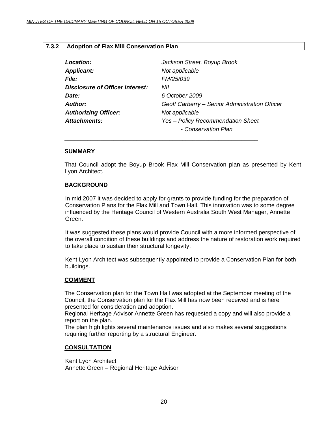#### <span id="page-19-0"></span>**7.3.2 Adoption of Flax Mill Conservation Plan**

| Jackson Street, Boyup Brook                    |
|------------------------------------------------|
| Not applicable                                 |
| FM/25/039                                      |
| NIL                                            |
| 6 October 2009                                 |
| Geoff Carberry – Senior Administration Officer |
| Not applicable                                 |
| Yes - Policy Recommendation Sheet              |
| - Conservation Plan                            |
|                                                |

\_\_\_\_\_\_\_\_\_\_\_\_\_\_\_\_\_\_\_\_\_\_\_\_\_\_\_\_\_\_\_\_\_\_\_\_\_\_\_\_\_\_\_\_\_\_\_\_\_\_\_\_\_\_\_\_\_\_\_

#### **SUMMARY**

That Council adopt the Boyup Brook Flax Mill Conservation plan as presented by Kent Lyon Architect.

#### **BACKGROUND**

In mid 2007 it was decided to apply for grants to provide funding for the preparation of Conservation Plans for the Flax Mill and Town Hall. This innovation was to some degree influenced by the Heritage Council of Western Australia South West Manager, Annette Green.

It was suggested these plans would provide Council with a more informed perspective of the overall condition of these buildings and address the nature of restoration work required to take place to sustain their structural longevity.

 Kent Lyon Architect was subsequently appointed to provide a Conservation Plan for both buildings.

#### **COMMENT**

The Conservation plan for the Town Hall was adopted at the September meeting of the Council, the Conservation plan for the Flax Mill has now been received and is here presented for consideration and adoption.

Regional Heritage Advisor Annette Green has requested a copy and will also provide a report on the plan.

The plan high lights several maintenance issues and also makes several suggestions requiring further reporting by a structural Engineer.

#### **CONSULTATION**

Kent Lyon Architect Annette Green – Regional Heritage Advisor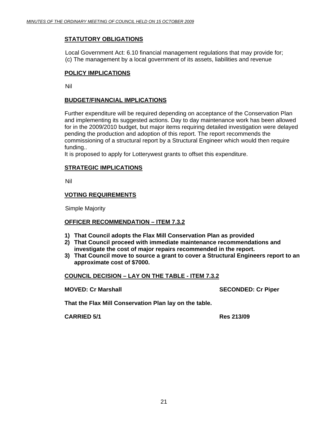#### **STATUTORY OBLIGATIONS**

Local Government Act: 6.10 financial management regulations that may provide for; (c) The management by a local government of its assets, liabilities and revenue

#### **POLICY IMPLICATIONS**

Nil

#### **BUDGET/FINANCIAL IMPLICATIONS**

Further expenditure will be required depending on acceptance of the Conservation Plan and implementing its suggested actions. Day to day maintenance work has been allowed for in the 2009/2010 budget, but major items requiring detailed investigation were delayed pending the production and adoption of this report. The report recommends the commissioning of a structural report by a Structural Engineer which would then require funding..

It is proposed to apply for Lotterywest grants to offset this expenditure.

#### **STRATEGIC IMPLICATIONS**

Nil

#### **VOTING REQUIREMENTS**

Simple Majority

#### **OFFICER RECOMMENDATION – ITEM 7.3.2**

- **1) That Council adopts the Flax Mill Conservation Plan as provided**
- **2) That Council proceed with immediate maintenance recommendations and investigate the cost of major repairs recommended in the report.**
- **3) That Council move to source a grant to cover a Structural Engineers report to an approximate cost of \$7000.**

#### **COUNCIL DECISION – LAY ON THE TABLE - ITEM 7.3.2**

**MOVED: Cr Marshall SECONDED: Cr Piper and SECONDED: Cr Piper** 

**That the Flax Mill Conservation Plan lay on the table.** 

**CARRIED 5/1 Res 213/09**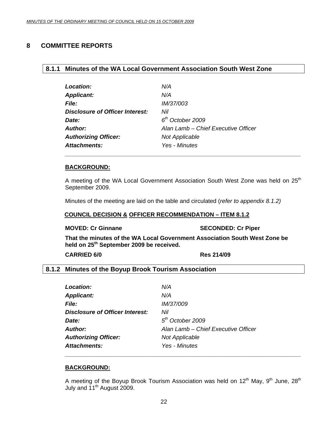#### <span id="page-21-0"></span>**8 COMMITTEE REPORTS**

#### **8.1.1 Minutes of the WA Local Government Association South West Zone**

| Location:                       | N/A                                 |
|---------------------------------|-------------------------------------|
| <b>Applicant:</b>               | N/A                                 |
| <b>File:</b>                    | <i>IM/37/003</i>                    |
| Disclosure of Officer Interest: | Nil                                 |
| Date:                           | $6th$ October 2009                  |
| <b>Author:</b>                  | Alan Lamb - Chief Executive Officer |
| <b>Authorizing Officer:</b>     | <b>Not Applicable</b>               |
| <b>Attachments:</b>             | Yes - Minutes                       |

 *\_\_\_\_\_\_\_\_\_\_\_\_\_\_\_\_\_\_\_\_\_\_\_\_\_\_\_\_\_\_\_\_\_\_\_\_\_\_\_\_\_\_\_\_\_\_\_\_\_\_\_\_\_\_\_\_\_\_\_\_\_\_\_\_\_\_\_\_\_\_\_\_* 

#### **BACKGROUND:**

A meeting of the WA Local Government Association South West Zone was held on 25<sup>th</sup> September 2009.

Minutes of the meeting are laid on the table and circulated (*refer to appendix 8.1.2)*

#### **COUNCIL DECISION & OFFICER RECOMMENDATION – ITEM 8.1.2**

#### **MOVED: Cr Ginnane SECONDED: Cr Piper**

**That the minutes of the WA Local Government Association South West Zone be held on 25th September 2009 be received.** 

**CARRIED 6/0 Res 214/09** 

#### **8.1.2 Minutes of the Boyup Brook Tourism Association**

| N/A                                 |
|-------------------------------------|
| N/A                                 |
| <i>IM/37/009</i>                    |
| Nil                                 |
| $5th$ October 2009                  |
| Alan Lamb - Chief Executive Officer |
| <b>Not Applicable</b>               |
| Yes - Minutes                       |
|                                     |

 *\_\_\_\_\_\_\_\_\_\_\_\_\_\_\_\_\_\_\_\_\_\_\_\_\_\_\_\_\_\_\_\_\_\_\_\_\_\_\_\_\_\_\_\_\_\_\_\_\_\_\_\_\_\_\_\_\_\_\_\_\_\_\_\_\_\_\_\_\_\_\_\_* 

#### **BACKGROUND:**

A meeting of the Boyup Brook Tourism Association was held on  $12<sup>th</sup>$  May,  $9<sup>th</sup>$  June,  $28<sup>th</sup>$ July and 11<sup>th</sup> August 2009.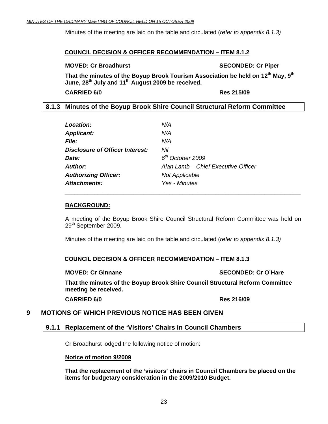<span id="page-22-0"></span>Minutes of the meeting are laid on the table and circulated (*refer to appendix 8.1.3)*

#### **COUNCIL DECISION & OFFICER RECOMMENDATION – ITEM 8.1.2**

#### **MOVED: Cr Broadhurst SECONDED: Cr Piper and SECONDED: Cr Piper**

That the minutes of the Boyup Brook Tourism Association be held on 12<sup>th</sup> May, 9<sup>th</sup> **June, 28th July and 11th August 2009 be received.** 

**CARRIED 6/0 Res 215/09** 

#### **8.1.3 Minutes of the Boyup Brook Shire Council Structural Reform Committee**

| <b>Location:</b>                       | N/A                                 |
|----------------------------------------|-------------------------------------|
| <b>Applicant:</b>                      | N/A                                 |
| <i>File:</i>                           | N/A                                 |
| <b>Disclosure of Officer Interest:</b> | Nil                                 |
| Date:                                  | 6 <sup>th</sup> October 2009        |
| <b>Author:</b>                         | Alan Lamb – Chief Executive Officer |
| <b>Authorizing Officer:</b>            | <b>Not Applicable</b>               |
| <b>Attachments:</b>                    | Yes - Minutes                       |

 *\_\_\_\_\_\_\_\_\_\_\_\_\_\_\_\_\_\_\_\_\_\_\_\_\_\_\_\_\_\_\_\_\_\_\_\_\_\_\_\_\_\_\_\_\_\_\_\_\_\_\_\_\_\_\_\_\_\_\_\_\_\_\_\_\_\_\_\_\_\_\_\_* 

#### **BACKGROUND:**

A meeting of the Boyup Brook Shire Council Structural Reform Committee was held on 29<sup>th</sup> September 2009.

Minutes of the meeting are laid on the table and circulated (*refer to appendix 8.1.3)*

#### **COUNCIL DECISION & OFFICER RECOMMENDATION – ITEM 8.1.3**

**MOVED: Cr Ginnane SECONDED: Cr O'Hare** SECONDED: Cr O'Hare

**That the minutes of the Boyup Brook Shire Council Structural Reform Committee meeting be received.** 

**CARRIED 6/0 Res 216/09** 

### **9 MOTIONS OF WHICH PREVIOUS NOTICE HAS BEEN GIVEN**

#### **9.1.1 Replacement of the 'Visitors' Chairs in Council Chambers**

Cr Broadhurst lodged the following notice of motion:

#### **Notice of motion 9/2009**

**That the replacement of the 'visitors' chairs in Council Chambers be placed on the items for budgetary consideration in the 2009/2010 Budget.**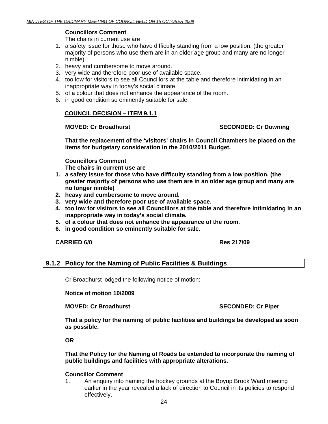#### **Councillors Comment**

The chairs in current use are

- <span id="page-23-0"></span>1. a safety issue for those who have difficulty standing from a low position. (the greater majority of persons who use them are in an older age group and many are no longer nimble)
- 2. heavy and cumbersome to move around.
- 3. very wide and therefore poor use of available space.
- 4. too low for visitors to see all Councillors at the table and therefore intimidating in an inappropriate way in today's social climate.
- 5. of a colour that does not enhance the appearance of the room.
- 6. in good condition so eminently suitable for sale.

#### **COUNCIL DECISION – ITEM 9.1.1**

**MOVED: Cr Broadhurst SECONDED: Cr Downing** 

**That the replacement of the 'visitors' chairs in Council Chambers be placed on the items for budgetary consideration in the 2010/2011 Budget.** 

**Councillors Comment** 

**The chairs in current use are** 

- **1. a safety issue for those who have difficulty standing from a low position. (the greater majority of persons who use them are in an older age group and many are no longer nimble)**
- **2. heavy and cumbersome to move around.**
- **3. very wide and therefore poor use of available space.**
- **4. too low for visitors to see all Councillors at the table and therefore intimidating in an inappropriate way in today's social climate.**
- **5. of a colour that does not enhance the appearance of the room.**
- **6. in good condition so eminently suitable for sale.**

#### **CARRIED 6/0 Res 217/09**

#### **9.1.2 Policy for the Naming of Public Facilities & Buildings**

Cr Broadhurst lodged the following notice of motion:

#### **Notice of motion 10/2009**

**MOVED: Cr Broadhurst SECONDED: Cr Piper and SECONDED: Cr Piper** 

**That a policy for the naming of public facilities and buildings be developed as soon as possible.** 

**OR** 

**That the Policy for the Naming of Roads be extended to incorporate the naming of public buildings and facilities with appropriate alterations.** 

#### **Councillor Comment**

1. An enquiry into naming the hockey grounds at the Boyup Brook Ward meeting earlier in the year revealed a lack of direction to Council in its policies to respond effectively.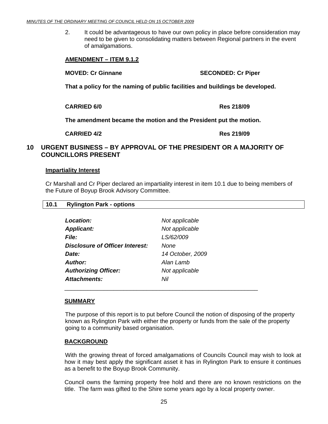<span id="page-24-0"></span>2. It could be advantageous to have our own policy in place before consideration may need to be given to consolidating matters between Regional partners in the event of amalgamations.

#### **AMENDMENT – ITEM 9.1.2**

**MOVED: Cr Ginnane SECONDED: Cr Piper** 

**That a policy for the naming of public facilities and buildings be developed.** 

**CARRIED 6/0 Res 218/09** 

 **The amendment became the motion and the President put the motion.** 

 **CARRIED 4/2 Res 219/09** 

**10.1 Rylington Park - options** 

#### **10 URGENT BUSINESS – BY APPROVAL OF THE PRESIDENT OR A MAJORITY OF COUNCILLORS PRESENT**

#### **Impartiality Interest**

Cr Marshall and Cr Piper declared an impartiality interest in item 10.1 due to being members of the Future of Boyup Brook Advisory Committee.

| Not applicable   |
|------------------|
| Not applicable   |
| LS/62/009        |
| None             |
| 14 October, 2009 |
| Alan Lamb        |
| Not applicable   |
| Nil              |
|                  |

\_\_\_\_\_\_\_\_\_\_\_\_\_\_\_\_\_\_\_\_\_\_\_\_\_\_\_\_\_\_\_\_\_\_\_\_\_\_\_\_\_\_\_\_\_\_\_\_\_\_\_\_\_\_\_\_\_\_\_

#### **SUMMARY**

The purpose of this report is to put before Council the notion of disposing of the property known as Rylington Park with either the property or funds from the sale of the property going to a community based organisation.

#### **BACKGROUND**

 With the growing threat of forced amalgamations of Councils Council may wish to look at how it may best apply the significant asset it has in Rylington Park to ensure it continues as a benefit to the Boyup Brook Community.

Council owns the farming property free hold and there are no known restrictions on the title. The farm was gifted to the Shire some years ago by a local property owner.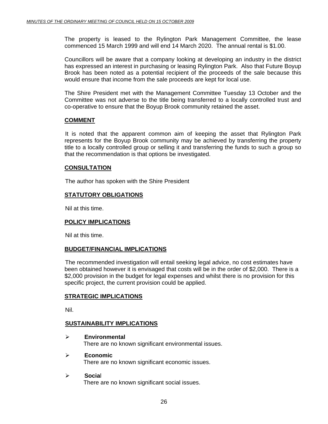The property is leased to the Rylington Park Management Committee, the lease commenced 15 March 1999 and will end 14 March 2020. The annual rental is \$1.00.

Councillors will be aware that a company looking at developing an industry in the district has expressed an interest in purchasing or leasing Rylington Park. Also that Future Boyup Brook has been noted as a potential recipient of the proceeds of the sale because this would ensure that income from the sale proceeds are kept for local use.

The Shire President met with the Management Committee Tuesday 13 October and the Committee was not adverse to the title being transferred to a locally controlled trust and co-operative to ensure that the Boyup Brook community retained the asset.

#### **COMMENT**

 It is noted that the apparent common aim of keeping the asset that Rylington Park represents for the Boyup Brook community may be achieved by transferring the property title to a locally controlled group or selling it and transferring the funds to such a group so that the recommendation is that options be investigated.

#### **CONSULTATION**

The author has spoken with the Shire President

#### **STATUTORY OBLIGATIONS**

Nil at this time.

#### **POLICY IMPLICATIONS**

Nil at this time.

#### **BUDGET/FINANCIAL IMPLICATIONS**

The recommended investigation will entail seeking legal advice, no cost estimates have been obtained however it is envisaged that costs will be in the order of \$2,000. There is a \$2,000 provision in the budget for legal expenses and whilst there is no provision for this specific project, the current provision could be applied.

#### **STRATEGIC IMPLICATIONS**

Nil.

#### **SUSTAINABILITY IMPLICATIONS**

¾ **Environmental** 

There are no known significant environmental issues.

#### ¾ **Economic**

There are no known significant economic issues.

#### ¾ **Socia**l

There are no known significant social issues.